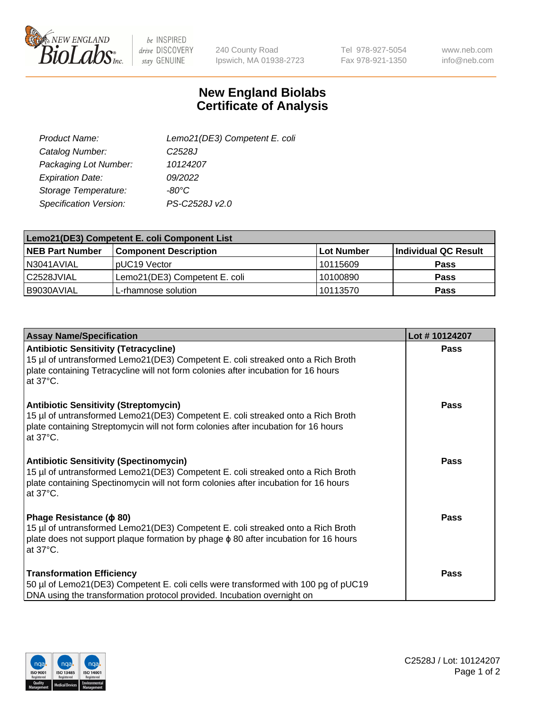

be INSPIRED drive DISCOVERY stay GENUINE

240 County Road Ipswich, MA 01938-2723 Tel 978-927-5054 Fax 978-921-1350

www.neb.com info@neb.com

## **New England Biolabs Certificate of Analysis**

| Lemo21(DE3) Competent E. coli |
|-------------------------------|
| C <sub>2528</sub> J           |
| 10124207                      |
| 09/2022                       |
| $-80^{\circ}$ C               |
| PS-C2528J v2.0                |
|                               |

| Lemo21(DE3) Competent E. coli Component List |                               |                   |                      |  |
|----------------------------------------------|-------------------------------|-------------------|----------------------|--|
| <b>NEB Part Number</b>                       | <b>Component Description</b>  | <b>Lot Number</b> | Individual QC Result |  |
| I N3041AVIAL                                 | IpUC19 Vector                 | 10115609          | <b>Pass</b>          |  |
| C2528JVIAL                                   | Lemo21(DE3) Competent E. coli | 10100890          | <b>Pass</b>          |  |
| B9030AVIAL                                   | L-rhamnose solution           | 10113570          | <b>Pass</b>          |  |

| <b>Assay Name/Specification</b>                                                                                                                                                                                                               | Lot #10124207 |
|-----------------------------------------------------------------------------------------------------------------------------------------------------------------------------------------------------------------------------------------------|---------------|
| <b>Antibiotic Sensitivity (Tetracycline)</b><br>15 µl of untransformed Lemo21(DE3) Competent E. coli streaked onto a Rich Broth<br>plate containing Tetracycline will not form colonies after incubation for 16 hours<br>at 37°C.             | Pass          |
| <b>Antibiotic Sensitivity (Streptomycin)</b><br>15 µl of untransformed Lemo21(DE3) Competent E. coli streaked onto a Rich Broth<br>plate containing Streptomycin will not form colonies after incubation for 16 hours<br>at $37^{\circ}$ C.   | Pass          |
| <b>Antibiotic Sensitivity (Spectinomycin)</b><br>15 µl of untransformed Lemo21(DE3) Competent E. coli streaked onto a Rich Broth<br>plate containing Spectinomycin will not form colonies after incubation for 16 hours<br>at $37^{\circ}$ C. | <b>Pass</b>   |
| Phage Resistance ( $\phi$ 80)<br>15 µl of untransformed Lemo21(DE3) Competent E. coli streaked onto a Rich Broth<br>plate does not support plaque formation by phage $\phi$ 80 after incubation for 16 hours<br>at 37°C.                      | Pass          |
| <b>Transformation Efficiency</b><br>50 µl of Lemo21(DE3) Competent E. coli cells were transformed with 100 pg of pUC19<br>DNA using the transformation protocol provided. Incubation overnight on                                             | Pass          |